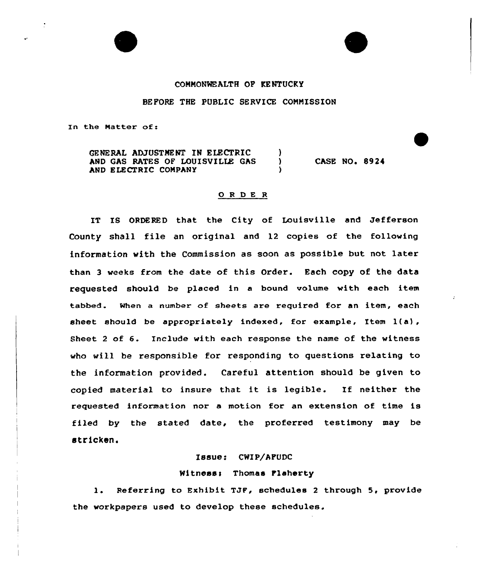# COMMONWEALTH OP KENTUCKY

### BEFORE THE PUBLIC SERVICE COMNISSION

In the Natter of:

GENERAL ADJUSTMENT IN ELECTRIC (1)<br>AND GAS RATES OF LOUISVILLE GAS AND GAS RATES OF LOUISVILLE GAS AND ELECTRIC COMPANY

**CASE NO. 8924** 

### 0 <sup>R</sup> <sup>D</sup> E <sup>R</sup>

IT IS ORDERED that the City of Louisville and Jefferson County shall file an original and 12 copies of the following information with the Commission as soon as possible but not later than <sup>3</sup> weeks from the date of this Order. Each copy of the data requested should be placed in a bound volume with each item tabbed. When a number of sheets are required for an item, each sheet should be appropriately indexed, for example, Item 1(a), Sheet <sup>2</sup> of 6. Include with each response the name of the witness who will be responsible for responding to questions relating to the information provided. Careful attention should be given to copied material to insure that it is legible. If neither the requested information nor a motion for an extension of time is filed by the stated date, the proferred testimony may be stricken.

## Issue: CHIP/AFUDC

#### Witness: Thomas Flaherty

l. Referring to Exhibit TJF, schedules <sup>2</sup> through 5, provide the workpapers used to develop these schedules.